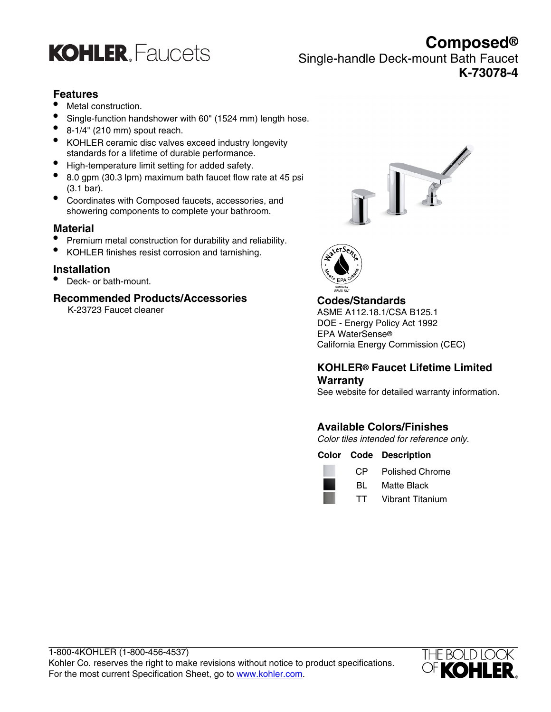

**Composed®** Single-handle Deck-mount Bath Faucet **K-73078-4**

## **Features**

- Metal construction.
- Single-function handshower with 60" (1524 mm) length hose.
- $\bullet$  8-1/4" (210 mm) spout reach.
- KOHLER ceramic disc valves exceed industry longevity standards for a lifetime of durable performance.
- High-temperature limit setting for added safety.
- 8.0 gpm (30.3 lpm) maximum bath faucet flow rate at 45 psi (3.1 bar).
- Coordinates with Composed faucets, accessories, and showering components to complete your bathroom.

## **Material**

- Premium metal construction for durability and reliability.
- KOHLER finishes resist corrosion and tarnishing.

## **Installation**

• Deck- or bath-mount.

## **Recommended Products/Accessories**

K-23723 Faucet cleaner





## **Codes/Standards**

ASME A112.18.1/CSA B125.1 DOE - Energy Policy Act 1992 EPA WaterSense® California Energy Commission (CEC)

## **KOHLER® Faucet Lifetime Limited Warranty**

See website for detailed warranty information.

## **Available Colors/Finishes**

Color tiles intended for reference only.

**Color Code Description**



- CP Polished Chrome
- BL Matte Black